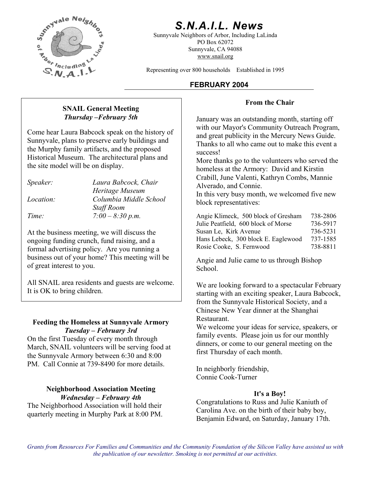

# *S.N.A.I.L. News*

Sunnyvale Neighbors of Arbor, Including LaLinda PO Box 62072 Sunnyvale, CA 94088 www.snail.org

Representing over 800 households Established in 1995

### **FEBRUARY 2004**

#### **From the Chair**

**Thursday –February 5th** January was an outstanding month, starting off with our Mayor's Community Outreach Program, and great publicity in the Mercury News Guide. Thanks to all who came out to make this event a success!

> More thanks go to the volunteers who served the homeless at the Armory: David and Kirstin Crabill, June Valenti, Kathryn Combs, Mannie Alverado, and Connie.

In this very busy month, we welcomed five new block representatives: *Location: Columbia Middle School* 

| Time:                                                                                                                                      | $7:00 - 8:30 p.m.$ | Angie Klimeck, 500 block of Gresham | 738-2806 |
|--------------------------------------------------------------------------------------------------------------------------------------------|--------------------|-------------------------------------|----------|
|                                                                                                                                            |                    | Julie Peatfield, 600 block of Morse | 736-5917 |
| At the business meeting, we will discuss the<br>ongoing funding crunch, fund raising, and a<br>formal advertising noticy Are you running a |                    | Susan Le, Kirk Avenue               | 736-5231 |
|                                                                                                                                            |                    | Hans Lebeck, 300 block E. Eaglewood | 737-1585 |
|                                                                                                                                            |                    | Rosie Cooke, S. Fernwood            | 738-8811 |

Angie and Julie came to us through Bishop School.

starting with an exciting speaker, Laura Babcock, from the Sunnyvale Historical Society, and a Chinese New Year dinner at the Shanghai Restaurant.

family events. Please join us for our monthly dinners, or come to our general meeting on the first Thursday of each month.

Connie Cook-Turner

Carolina Ave. on the birth of their baby boy, Benjamin Edward, on Saturday, January 17th.

# **SNAIL General Meeting**

Come hear Laura Babcock speak on the history of Sunnyvale, plans to preserve early buildings and the Murphy family artifacts, and the proposed Historical Museum. The architectural plans and the site model will be on display.

| Speaker:         | Laura Babcock, Chair   |
|------------------|------------------------|
|                  | Heritage Museum        |
| <i>Location:</i> | Columbia Middle School |
|                  | <b>Staff Room</b>      |
| Time:            | $7:00 - 8:30 p.m.$     |
|                  |                        |

At the business meeting, we will discuss the ongoing funding crunch, fund raising, and a formal advertising policy. Are you running a business out of your home? This meeting will be of great interest to you.

All SNAIL area residents and guests are welcome. We are looking forward to a spectacular February It is OK to bring children.

#### **Feeding the Homeless at Sunnyvale Armory We welcome your ideas for service, speakers, or We welcome your ideas for service**, speakers, or *Tuesday – February 3rd*

On the first Tuesday of every month through March, SNAIL volunteers will be serving food at the Sunnyvale Armory between 6:30 and 8:00 PM. Call Connie at 739-8490 for more details. In neighborly friendship,

# **Neighborhood Association Meeting** *It's a Boy!*<br>*Wednesday – February 4th* Congratulations to Russ and Julie Kaniuth of Congratulations to Russ and Julie Kaniuth of

The Neighborhood Association will hold their quarterly meeting in Murphy Park at 8:00 PM.

*Grants from Resources For Families and Communities and the Community Foundation of the Silicon Valley have assisted us with the publication of our newsletter. Smoking is not permitted at our activities.*